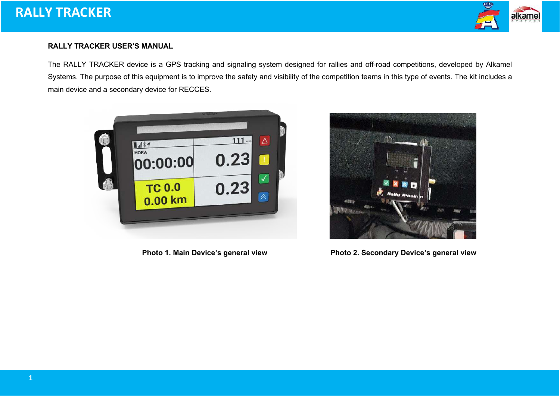

## **RALLY TRACKER USER'S MANUAL**

The RALLY TRACKER device is a GPS tracking and signaling system designed for rallies and off-road competitions, developed by Alkamel Systems. The purpose of this equipment is to improve the safety and visibility of the competition teams in this type of events. The kit includes a main device and a secondary device for RECCES.





**Photo 1. Main Device's general view Photo 2. Secondary Device's general view**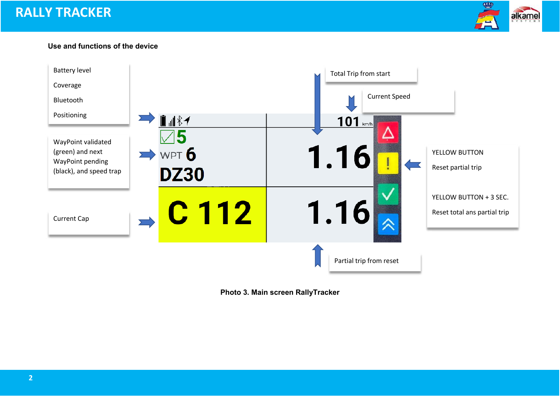# **RALLY TRACKER**



## **Use and functions of the device**



**Photo 3. Main screen RallyTracker**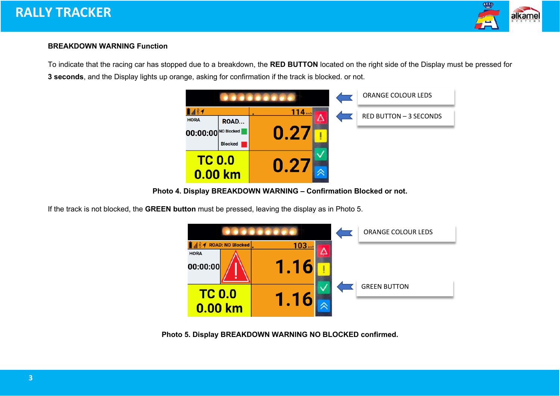

# **BREAKDOWN WARNING Function**

To indicate that the racing car has stopped due to a breakdown, the **RED BUTTON** located on the right side of the Display must be pressed for **3 seconds**, and the Display lights up orange, asking for confirmation if the track is blocked. or not.



**Photo 4. Display BREAKDOWN WARNING – Confirmation Blocked or not.**

If the track is not blocked, the **GREEN button** must be pressed, leaving the display as in Photo 5.



**Photo 5. Display BREAKDOWN WARNING NO BLOCKED confirmed.**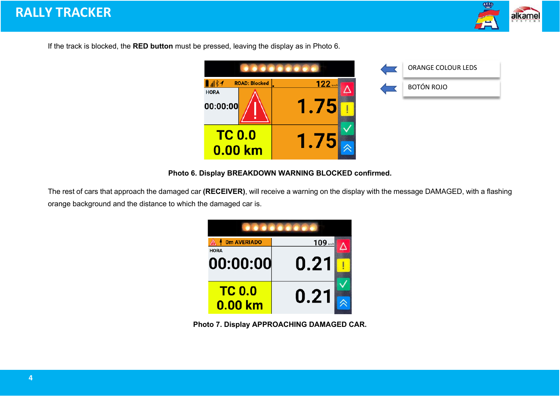

If the track is blocked, the **RED button** must be pressed, leaving the display as in Photo 6.



| <b>ORANGE COLOUR LEDS</b> |
|---------------------------|
| <b>BOTÓN ROJO</b>         |

**Photo 6. Display BREAKDOWN WARNING BLOCKED confirmed.**

The rest of cars that approach the damaged car **(RECEIVER)**, will receive a warning on the display with the message DAMAGED, with a flashing orange background and the distance to which the damaged car is.

| <b>0m AVERIADO</b>       | 109 km/h |  |  |  |
|--------------------------|----------|--|--|--|
| <b>HORA</b><br>00:00:00  | 0.21     |  |  |  |
| <b>TC 0.0</b><br>0.00 km | 0.21     |  |  |  |

**Photo 7. Display APPROACHING DAMAGED CAR.**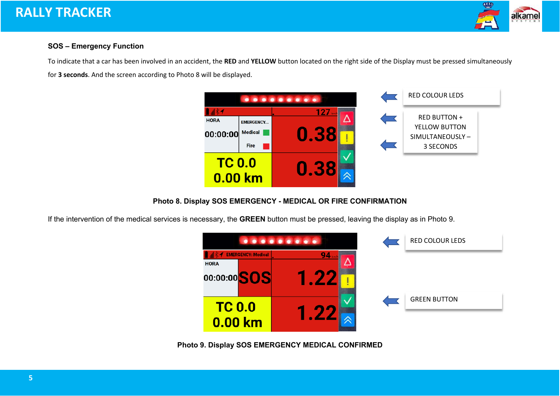# **RALLY TRACKER**



# **SOS – Emergency Function**

To indicate that a car has been involved in an accident, the **RED** and **YELLOW** button located on the right side of the Display must be pressed simultaneously for **3 seconds**. And the screen according to Photo 8 will be displayed.



**Photo 8. Display SOS EMERGENCY - MEDICAL OR FIRE CONFIRMATION**

If the intervention of the medical services is necessary, the **GREEN** button must be pressed, leaving the display as in Photo 9.



**Photo 9. Display SOS EMERGENCY MEDICAL CONFIRMED**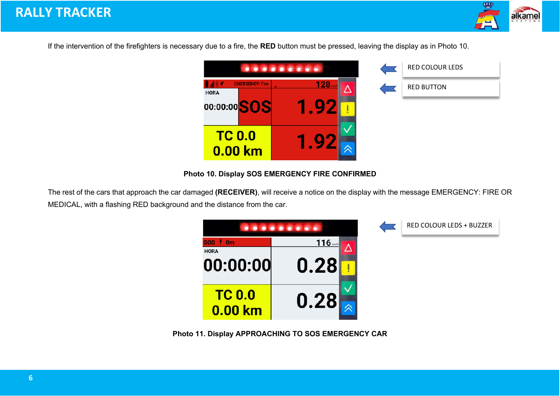

If the intervention of the firefighters is necessary due to a fire, the **RED** button must be pressed, leaving the display as in Photo 10.



**Photo 10. Display SOS EMERGENCY FIRE CONFIRMED**

The rest of the cars that approach the car damaged **(RECEIVER)**, will receive a notice on the display with the message EMERGENCY: FIRE OR MEDICAL, with a flashing RED background and the distance from the car.



**Photo 11. Display APPROACHING TO SOS EMERGENCY CAR**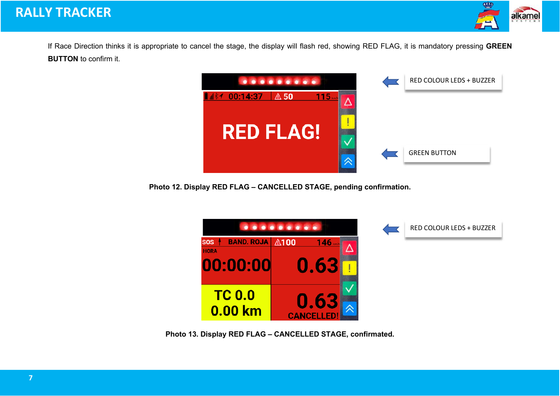

If Race Direction thinks it is appropriate to cancel the stage, the display will flash red, showing RED FLAG, it is mandatory pressing **GREEN BUTTON** to confirm it.



**Photo 12. Display RED FLAG – CANCELLED STAGE, pending confirmation.**



**Photo 13. Display RED FLAG – CANCELLED STAGE, confirmated.**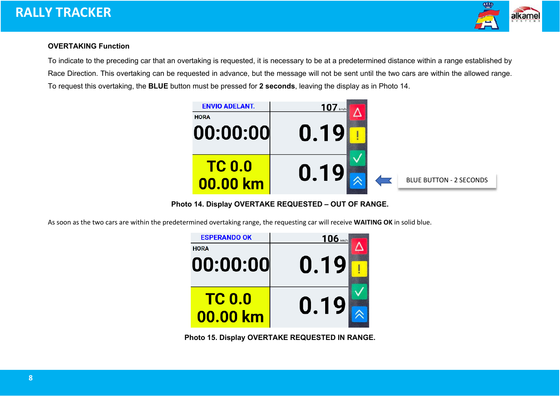



#### **OVERTAKING Function**

To indicate to the preceding car that an overtaking is requested, it is necessary to be at a predetermined distance within a range established by Race Direction. This overtaking can be requested in advance, but the message will not be sent until the two cars are within the allowed range. To request this overtaking, the **BLUE** button must be pressed for **2 seconds**, leaving the display as in Photo 14.



**Photo 14. Display OVERTAKE REQUESTED – OUT OF RANGE.**

As soon as the two cars are within the predetermined overtaking range, the requesting car will receive **WAITING OK** in solid blue.

| <b>ESPERANDO OK</b>       | $106$ km/h |  |
|---------------------------|------------|--|
| <b>HORA</b>               |            |  |
| 00:00:00                  | 0.19       |  |
| <b>TC 0.0</b><br>00.00 km | 0.19       |  |

**Photo 15. Display OVERTAKE REQUESTED IN RANGE.**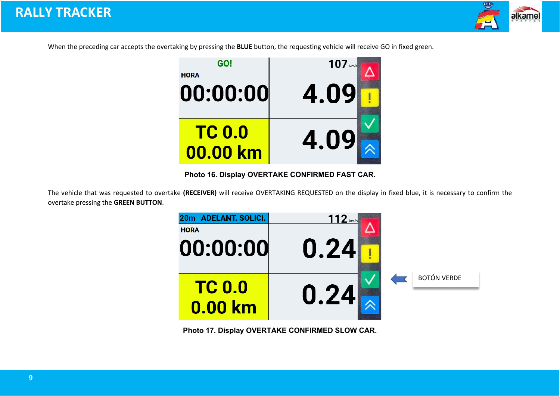

When the preceding car accepts the overtaking by pressing the **BLUE** button, the requesting vehicle will receive GO in fixed green.



**Photo 16. Display OVERTAKE CONFIRMED FAST CAR.**

The vehicle that was requested to overtake **(RECEIVER)** will receive OVERTAKING REQUESTED on the display in fixed blue, it is necessary to confirm the overtake pressing the **GREEN BUTTON**.



**Photo 17. Display OVERTAKE CONFIRMED SLOW CAR.**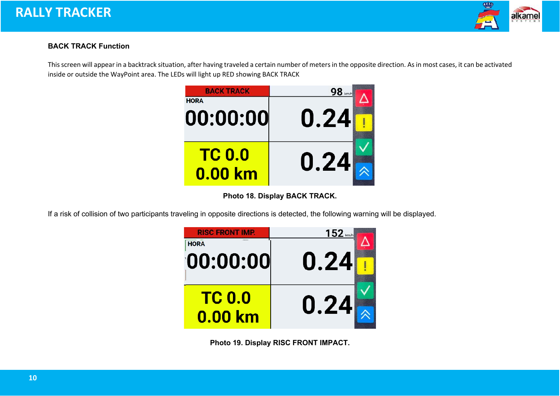



## **BACK TRACK Function**

This screen will appear in a backtrack situation, after having traveled a certain number of meters in the opposite direction. As in most cases, it can be activated inside or outside the WayPoint area. The LEDs will light up RED showing BACK TRACK



**Photo 18. Display BACK TRACK.**

If a risk of collision of two participants traveling in opposite directions is detected, the following warning will be displayed.



**Photo 19. Display RISC FRONT IMPACT.**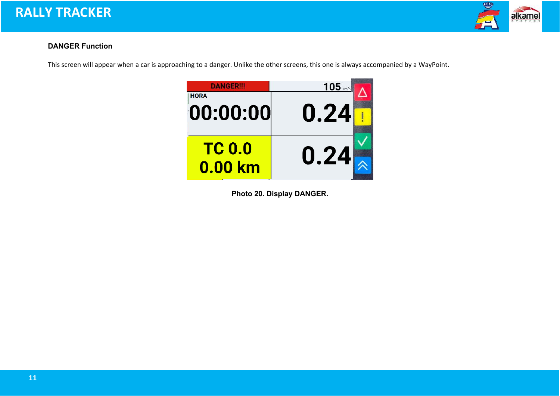



# **DANGER Function**

This screen will appear when a car is approaching to a danger. Unlike the other screens, this one is always accompanied by a WayPoint.



**Photo 20. Display DANGER.**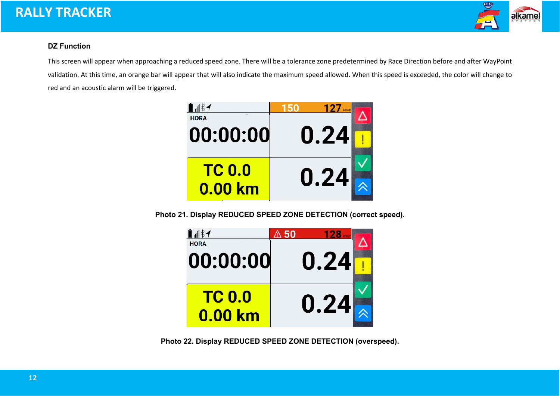# **RALLY TRACKER**



## **DZ Function**

This screen will appear when approaching a reduced speed zone. There will be a tolerance zone predetermined by Race Direction before and after WayPoint validation. At this time, an orange bar will appear that will also indicate the maximum speed allowed. When this speed is exceeded, the color will change to red and an acoustic alarm will be triggered.



**Photo 21. Display REDUCED SPEED ZONE DETECTION (correct speed).**

| <b>HORA</b>   |      |
|---------------|------|
| 00:00:00      | 0.24 |
|               |      |
| <b>TC 0.0</b> |      |
|               | 0.24 |
| 0.00 km       |      |

**Photo 22. Display REDUCED SPEED ZONE DETECTION (overspeed).**